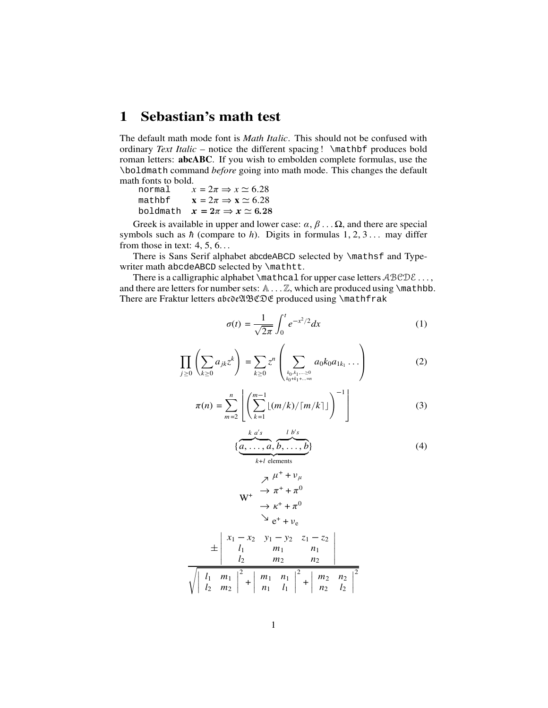## **1 Sebastian's math test**

The default math mode font is *Math Italic*. This should not be confused with ordinary *Text Italic* – notice the different spacing ! \mathbf produces bold roman letters: **abcABC**. If you wish to embolden complete formulas, use the \boldmath command *before* going into math mode. This changes the default math fonts to bold.

| normal | $x = 2\pi \Rightarrow x \simeq 6.28$          |
|--------|-----------------------------------------------|
| mathbf | $x = 2\pi \Rightarrow x \simeq 6.28$          |
|        | boldmath $x = 2\pi \Rightarrow x \simeq 6.28$ |

Greek is available in upper and lower case:  $\alpha, \beta \dots \Omega$ , and there are special symbols such as  $\hbar$  (compare to  $h$ ). Digits in formulas  $1, 2, 3...$  may differ from those in text:  $4, 5, 6...$ 

There is Sans Serif alphabet abcdeABCD selected by \mathsf and Typewriter math abcdeABCD selected by \mathtt.

There is a calligraphic alphabet  $\mathcal{L}$  for upper case letters  $\mathcal{ABCDE}$ ... and there are letters for number sets:  $A \dots Z$ , which are produced using \mathbb. There are Fraktur letters abcde 200 \$ produced using \mathfrak

$$
\sigma(t) = \frac{1}{\sqrt{2\pi}} \int_0^t e^{-x^2/2} dx
$$
 (1)

$$
\prod_{j\geq 0}\left(\sum_{k\geq 0}a_{jk}z^k\right)=\sum_{k\geq 0}z^n\left(\sum_{k_0,k_1,\dots\geq 0\atop k_0+k_1+\dots=n}a_0k_0a_{1k_1}\dots\right)
$$
(2)

$$
\pi(n) = \sum_{m=2}^{n} \left[ \left( \sum_{k=1}^{m-1} \lfloor (m/k) / \lceil m/k \rceil \rfloor \right)^{-1} \right] \tag{3}
$$

$$
\{\underbrace{a, \ldots, a}_{k+l \text{ elements}}, \underbrace{b, \ldots, b}_{k\}
$$
\n
$$
(4)
$$

$$
W^{+} \rightarrow \pi^{+} + \pi^{0}
$$
\n
$$
W^{+} \rightarrow \pi^{+} + \pi^{0}
$$
\n
$$
\rightarrow \kappa^{+} + \pi^{0}
$$
\n
$$
\rightarrow e^{+} + \nu_{e}
$$
\n
$$
\pm \begin{vmatrix} x_{1} - x_{2} & y_{1} - y_{2} & z_{1} - z_{2} \\ l_{1} & m_{1} & n_{1} \\ l_{2} & m_{2} & n_{2} \end{vmatrix}
$$
\n
$$
\sqrt{\begin{vmatrix} l_{1} & m_{1} \\ l_{2} & m_{2} \end{vmatrix}^{2} + \begin{vmatrix} m_{1} & n_{1} \\ n_{1} & l_{1} \end{vmatrix}^{2} + \begin{vmatrix} m_{2} & n_{2} \\ n_{2} & l_{2} \end{vmatrix}^{2}}}
$$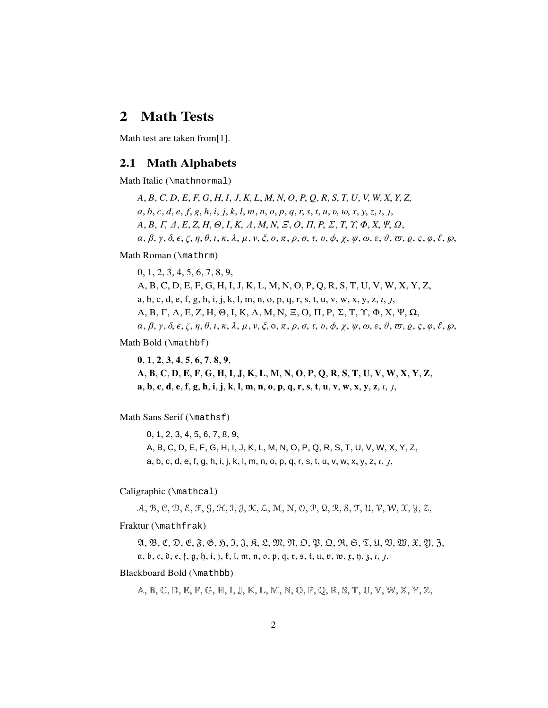## **2 Math Tests**

Math test are taken from[1].

#### **2.1 Math Alphabets**

Math Italic (\mathnormal)

*A*, *B*,*C*, *D*, *E*, *F*, *G*, *H*,*I*, *J*,*K*, *L*, *M*,*N*, *O*, *P*, *Q*, *R*, *S*, *T*, *U*, *V*, *W*, *X*, *Y*, *Z*,  $a, b, c, d, e, f, g, h, i, j, k, l, m, n, o, p, q, r, s, t, u, v, w, x, y, z, l, j,$ *A*, *B*,Γ,∆, *E*, *Z*, *H*,Θ,*I*,*K*,Λ, *M*,*N*,Ξ, *O*,Π, *P*,Σ, *T*,Υ,Φ, *X*,Ψ,Ω,  $\alpha, \beta, \gamma, \delta, \epsilon, \zeta, \eta, \theta, \iota, \kappa, \lambda, \mu, \nu, \zeta, o, \pi, \rho, \sigma, \tau, \nu, \phi, \chi, \psi, \omega, \epsilon, \vartheta, \pi, \varrho, \zeta, \varphi, \ell, \varphi,$ 

Math Roman (\mathrm)

0, 1, 2, 3, 4, 5, 6, 7, 8, 9, A,B,C, D, E, F, G, H,I,J, K, L, M, N, O, P, Q,R, S, T, U, V, W, X, Y, Z, a, b, c, d, e,f, g, h,i,j, k,l, m, n, o, p, q,r,s,t, u, v, w, x, y, z,*ı*,,  $A, B, \Gamma, \Delta, E, Z, H, \Theta, I, K, \Lambda, M, N, \Xi, O, \Pi, P, \Sigma, T, \Upsilon, \Phi, X, \Psi, \Omega,$  $\alpha, \beta, \gamma, \delta, \epsilon, \zeta, \eta, \theta, \iota, \kappa, \lambda, \mu, \nu, \xi, \mathfrak{0}, \pi, \rho, \sigma, \tau, \nu, \phi, \chi, \psi, \omega, \varepsilon, \vartheta, \pi, \rho, \zeta, \varphi, \ell, \varphi, \ell, \varphi$ 

Math Bold (\mathbf)

**0**, **1**, **2**, **3**, **4**, **5**, **6**, **7**, **8**, **9**, A, B, C, D, E, F, G, H, I, J, K, L, M, N, O, P, Q, R, S, T, U, V, W, X, Y, Z,  $a, b, c, d, e, f, g, h, i, j, k, l, m, n, o, p, q, r, s, t, u, v, w, x, y, z, l, l,$ 

Math Sans Serif (\mathsf)

0, 1, 2, 3, 4, 5, 6, 7, 8, 9, A, B, C, D, E, F, G, H,I, J, K, L, M, N, O, P, Q, R, S, T, U, V, W, X, Y, Z, a, b, c, d, e,f, g, h,i,j, k,l, m, n, o, p, q, r, s,t, u, v, w, x, y, z,*ı*,,

Caligraphic (\mathcal)

A, B, C, D, E, F, G, H, I, J, K, L, M, N, O,P,Q, R, S, T, U,V,W, X, Y, Z,

Fraktur (\mathfrak)

 $\mathfrak{A}, \mathfrak{B}, \mathfrak{C}, \mathfrak{D}, \mathfrak{E}, \mathfrak{F}, \mathfrak{G}, \mathfrak{H}, \mathfrak{I}, \mathfrak{J}, \mathfrak{K}, \mathfrak{L}, \mathfrak{M}, \mathfrak{N}, \mathfrak{O}, \mathfrak{P}, \mathfrak{Q}, \mathfrak{R}, \mathfrak{S}, \mathfrak{T}, \mathfrak{U}, \mathfrak{W}, \mathfrak{X}, \mathfrak{Y}, \mathfrak{Z}, \mathfrak{Z}, \mathfrak{Z}, \mathfrak{W}, \mathfrak{W}, \mathfrak{W}, \mathfrak{W}, \mathfrak$ a, b, c,  $\mathfrak d$ , e, f, g,  $\mathfrak h$ , i, j,  $\mathfrak k$ , l,  $\mathfrak m$ ,  $\mathfrak n$ ,  $\mathfrak o$ ,  $\mathfrak p$ ,  $\mathfrak q$ ,  $\mathfrak r$ ,  $\mathfrak s$ ,  $\mathfrak t$ ,  $\mathfrak u$ ,  $\mathfrak v$ ,  $\mathfrak w$ ,  $\mathfrak x$ ,  $\mathfrak v$ ,  $\mathfrak z$ ,  $\mathfrak z$ ,  $\mathfrak z$ ,  $\mathfrak z$ ,  $\mathfrak z$ ,  $\mathfrak$ 

Blackboard Bold (\mathbb)

A,B, C, D,E, F, G, H,I, J, K,L, M, N, O, P, Q, R, S,T, U, V,W, X, Y,Z,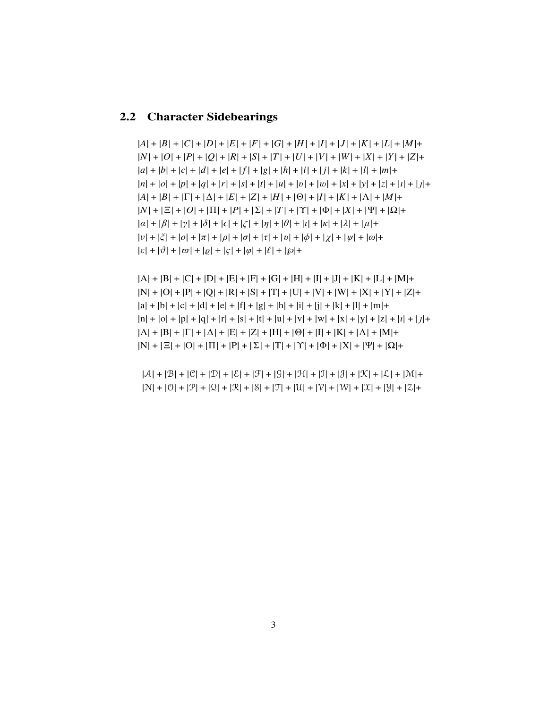#### 2.2 Character Sidebearings

 $|A|+|B|+|C|+|D|+|E|+|F|+|G|+|H|+|I|+|J|+|K|+|L|+|M|+$  $|N|+|O|+|P|+|Q|+|R|+|S|+|T|+|U|+|V|+|W|+|X|+|Y|+|Z|+$  $|a| + |b| + |c| + |d| + |e| + |f| + |g| + |h| + |i| + |j| + |k| + |l| + |m| +$  $|n| + |o| + |p| + |q| + |r| + |s| + |t| + |u| + |v| + |w| + |x| + |y| + |z| + |t| + |t| + |t|$  $|A| + |B| + |\Gamma| + |\Delta| + |E| + |Z| + |H| + |\Theta| + |I| + |K| + |\Lambda| + |M| +$  $|N| + |\Xi| + |O| + |\Pi| + |P| + |\Sigma| + |T| + |\Upsilon| + |\Phi| + |X| + |\Psi| + |\Omega| +$  $|\alpha| + |\beta| + |\gamma| + |\delta| + |\epsilon| + |\zeta| + |\eta| + |\theta| + |\iota| + |\kappa| + |\lambda| + |\mu| +$  $|v| + |\xi| + |o| + |\pi| + |\rho| + |\sigma| + |\tau| + |v| + |\phi| + |\chi| + |\psi| + |\omega| +$  $|\varepsilon| + |\vartheta| + |\varpi| + |\varrho| + |\varsigma| + |\varphi| + |\ell| + |\varphi| +$ 

 $|A| + |B| + |C| + |D| + |E| + |F| + |G| + |H| + |I| + |J| + |K| + |L| + |M| +$  $|N| + |O| + |P| + |O| + |R| + |S| + |T| + |U| + |V| + |W| + |X| + |Y| + |Z| +$  $|a| + |b| + |c| + |d| + |e| + |f| + |g| + |h| + |i| + |i| + |k| + |l| + |m| +$  $|n| + |o| + |p| + |q| + |r| + |s| + |t| + |u| + |v| + |w| + |x| + |y| + |z| + |t| + |t| + |t| + |t|$  $|A| + |B| + |\Gamma| + |\Delta| + |E| + |Z| + |H| + |\Theta| + |I| + |K| + |\Lambda| + |M| +$  $|N| + |\Xi| + |O| + |\Pi| + |P| + |\Sigma| + |\Upsilon| + |\Upsilon| + |\Phi| + |X| + |\Psi| + |\Omega| +$ 

 $|A| + |B| + |C| + |D| + |\mathcal{E}| + |\mathcal{F}| + |G| + |\mathcal{H}| + |\mathcal{I}| + |\mathcal{J}| + |\mathcal{K}| + |\mathcal{L}| + |\mathcal{M}| +$  $|N| + |0| + |P| + |Q| + |R| + |S| + |T| + |U| + |V| + |W| + |X| + |Y| + |Z| +$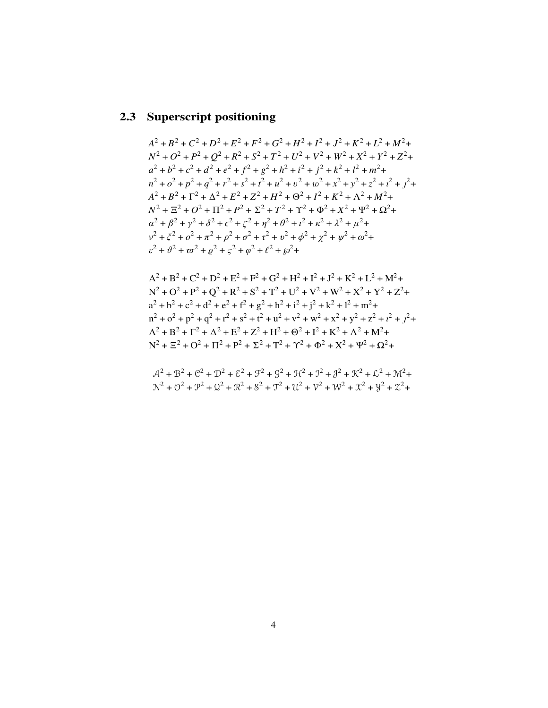#### 2.3 Superscript positioning

 $A^{2} + B^{2} + C^{2} + D^{2} + E^{2} + F^{2} + G^{2} + H^{2} + I^{2} + J^{2} + K^{2} + L^{2} + M^{2} +$  $N^2 + O^2 + P^2 + O^2 + R^2 + S^2 + T^2 + U^2 + V^2 + W^2 + X^2 + Y^2 + Z^2 +$  $a^{2} + b^{2} + c^{2} + d^{2} + e^{2} + f^{2} + g^{2} + h^{2} + i^{2} + j^{2} + k^{2} + l^{2} + m^{2} +$  $n^2 + o^2 + p^2 + q^2 + r^2 + s^2 + t^2 + u^2 + v^2 + w^2 + x^2 + y^2 + z^2 + t^2 + t^2$  $A^{2} + B^{2} + \Gamma^{2} + \Lambda^{2} + E^{2} + Z^{2} + H^{2} + \Theta^{2} + I^{2} + K^{2} + \Lambda^{2} + M^{2} +$  $N^2 + \Xi^2 + O^2 + \Pi^2 + P^2 + \Sigma^2 + T^2 + \Upsilon^2 + \Phi^2 + X^2 + \Psi^2 + \Omega^2 +$  $\alpha^{2} + \beta^{2} + \gamma^{2} + \delta^{2} + \epsilon^{2} + \zeta^{2} + \eta^{2} + \theta^{2} + \iota^{2} + \kappa^{2} + \lambda^{2} + \mu^{2} +$  $v^2 + \xi^2 + o^2 + \pi^2 + \rho^2 + \sigma^2 + \tau^2 + v^2 + \phi^2 + \gamma^2 + \psi^2 + \omega^2 +$  $\varepsilon^2 + \vartheta^2 + \varpi^2 + \varrho^2 + \varsigma^2 + \varrho^2 + \ell^2 + \varphi^2 +$ 

$$
A^{2} + B^{2} + C^{2} + D^{2} + E^{2} + F^{2} + G^{2} + H^{2} + I^{2} + J^{2} + K^{2} + L^{2} + M^{2} +
$$
  
\n
$$
N^{2} + O^{2} + P^{2} + Q^{2} + R^{2} + S^{2} + T^{2} + U^{2} + V^{2} + W^{2} + X^{2} + Y^{2} + Z^{2} +
$$
  
\n
$$
a^{2} + b^{2} + c^{2} + d^{2} + e^{2} + f^{2} + g^{2} + h^{2} + i^{2} + j^{2} + k^{2} + I^{2} + m^{2} +
$$
  
\n
$$
n^{2} + o^{2} + p^{2} + q^{2} + r^{2} + s^{2} + t^{2} + u^{2} + v^{2} + w^{2} + x^{2} + y^{2} + z^{2} + t^{2} + j^{2} +
$$
  
\n
$$
A^{2} + B^{2} + \Gamma^{2} + \Delta^{2} + E^{2} + Z^{2} + H^{2} + \Theta^{2} + I^{2} + K^{2} + \Delta^{2} + M^{2} +
$$
  
\n
$$
N^{2} + \Xi^{2} + O^{2} + \Pi^{2} + P^{2} + \Sigma^{2} + T^{2} + \Upsilon^{2} + \Phi^{2} + X^{2} + \Psi^{2} + \Omega^{2} +
$$

 $A^{2} + B^{2} + C^{2} + D^{2} + E^{2} + F^{2} + G^{2} + H^{2} + J^{2} + A^{2} + K^{2} + L^{2} + M^{2} +$  $\mathcal{N}^2 + \mathcal{O}^2 + \mathcal{P}^2 + \mathcal{Q}^2 + \mathcal{R}^2 + \mathcal{S}^2 + \mathcal{T}^2 + \mathcal{U}^2 + \mathcal{V}^2 + \mathcal{W}^2 + \mathcal{X}^2 + \mathcal{Y}^2 + \mathcal{Z}^2 +$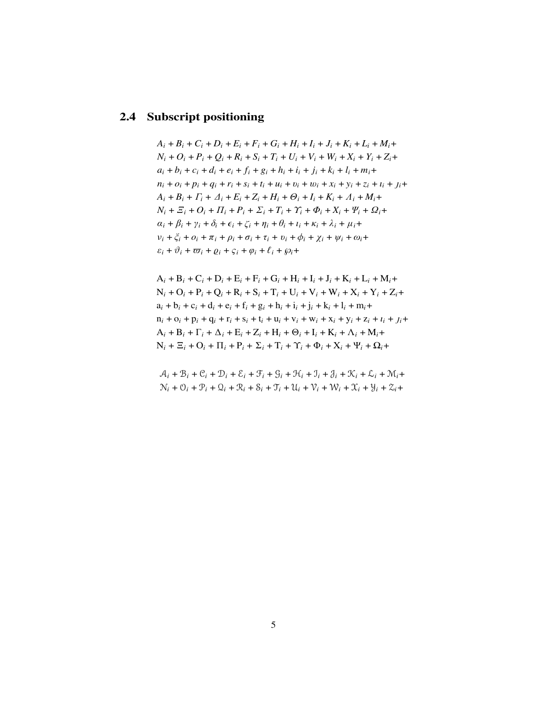#### **2.4 Subscript positioning**

 $A_i + B_i + C_i + D_i + E_i + F_i + G_i + H_i + I_i + J_i + K_i + L_i + M_i +$  $N_i + Q_i + P_i + Q_i + R_i + S_i + T_i + U_i + V_i + W_i + X_i + Y_i + Z_i +$  $a_i + b_i + c_i + d_i + e_i + f_i + g_i + h_i + i_i + j_i + k_i + l_i + m_i +$  $n_i + o_i + p_i + q_i + r_i + s_i + t_i + u_i + v_i + w_i + x_i + y_i + z_i + t_i + t_i$  $A_i + B_i + \Gamma_i + \Delta_i + E_i + Z_i + H_i + \Theta_i + I_i + K_i + \Lambda_i + M_i +$  $N_i + \Sigma_i + O_i + \Pi_i + P_i + \Sigma_i + T_i + \Upsilon_i + \Phi_i + X_i + \Psi_i + \Omega_i +$  $\alpha_i + \beta_i + \gamma_i + \delta_i + \epsilon_i + \zeta_i + \eta_i + \theta_i + \iota_i + \kappa_i + \lambda_i + \mu_i +$ ν*<sup>i</sup>* + ξ*<sup>i</sup>* + *o<sup>i</sup>* + π*<sup>i</sup>* + ρ*<sup>i</sup>* + σ*<sup>i</sup>* + τ*<sup>i</sup>* + υ*<sup>i</sup>* + φ*<sup>i</sup>* + χ*<sup>i</sup>* + ψ*<sup>i</sup>* + ω*i*+  $\varepsilon_i + \vartheta_i + \varpi_i + \varrho_i + \varsigma_i + \varphi_i + \ell_i + \varrho_i +$ 

A*<sup>i</sup>* + B*<sup>i</sup>* + C*<sup>i</sup>* + D*<sup>i</sup>* + E*<sup>i</sup>* + F*<sup>i</sup>* + G*<sup>i</sup>* + H*<sup>i</sup>* + I*<sup>i</sup>* + J*<sup>i</sup>* + K*<sup>i</sup>* + L*<sup>i</sup>* + M*i*+  $N_i + O_i + P_i + Q_i + R_i + S_i + T_i + U_i + V_i + W_i + X_i + Y_i + Z_i +$ a*<sup>i</sup>* + b*<sup>i</sup>* + c*<sup>i</sup>* + d*<sup>i</sup>* + e*<sup>i</sup>* + f*<sup>i</sup>* + g*<sup>i</sup>* + h*<sup>i</sup>* + i*<sup>i</sup>* + j*<sup>i</sup>* + k*<sup>i</sup>* + l*<sup>i</sup>* + m*i*+  $n_i + o_i + p_i + q_i + r_i + s_i + t_i + u_i + v_i + w_i + x_i + y_i + z_i + t_i + j_i + t_i$  $A_i + B_i + \Gamma_i + \Delta_i + E_i + Z_i + H_i + \Theta_i + I_i + K_i + \Lambda_i + M_i +$  $N_i + \Xi_i + O_i + \Pi_i + P_i + \Sigma_i + T_i + \Upsilon_i + \Phi_i + X_i + \Psi_i + \Omega_i +$ 

 $A_i + B_i + C_i + D_i + \mathcal{E}_i + \mathcal{F}_i + \mathcal{G}_i + \mathcal{H}_i + \mathcal{I}_i + \mathcal{J}_i + \mathcal{K}_i + \mathcal{L}_i + \mathcal{M}_i +$  $N_i + \mathcal{O}_i + \mathcal{P}_i + \mathcal{Q}_i + \mathcal{R}_i + \mathcal{S}_i + \mathcal{T}_i + \mathcal{U}_i + \mathcal{V}_i + \mathcal{W}_i + \mathcal{X}_i + \mathcal{Y}_i + \mathcal{Z}_i +$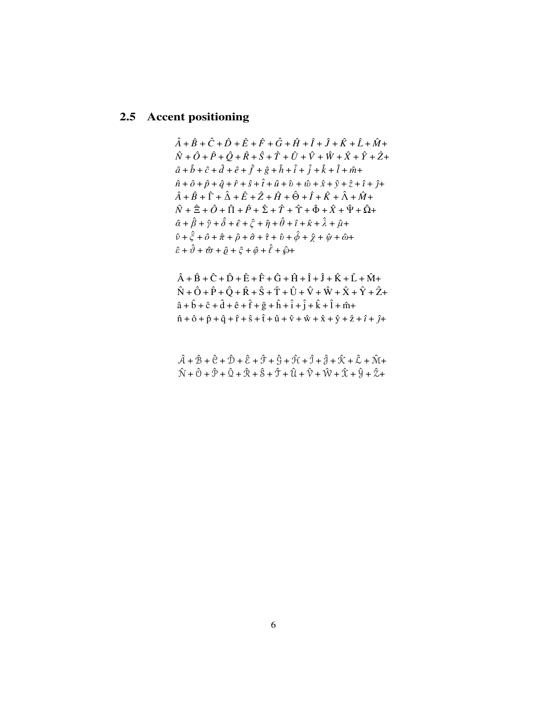### **2.5 Accent positioning**

```
\hat{A} + \hat{B} + \hat{C} + \hat{D} + \hat{E} + \hat{F} + \hat{G} + \hat{H} + \hat{I} + \hat{J} + \hat{K} + \hat{L} + \hat{M} + \hat{K}\hat{N} + \hat{O} + \hat{P} + \hat{O} + \hat{R} + \hat{S} + \hat{T} + \hat{U} + \hat{V} + \hat{W} + \hat{X} + \hat{Y} + \hat{Z} + \hat{Z}\hat{a} + \hat{b} + \hat{c} + \hat{d} + \hat{e} + \hat{f} + \hat{g} + \hat{h} + \hat{i} + \hat{j} + \hat{k} + \hat{l} + \hat{m}+
\hat{n} + \hat{o} + \hat{p} + \hat{q} + \hat{r} + \hat{s} + \hat{t} + \hat{u} + \hat{v} + \hat{w} + \hat{x} + \hat{y} + \hat{z} + \hat{i} + \hat{j} + \hat{k}\hat{A} + \hat{B} + \hat{\Gamma} + \hat{\Delta} + \hat{E} + \hat{Z} + \hat{H} + \hat{\Theta} + \hat{I} + \hat{K} + \hat{\Lambda} + \hat{M} + \hat{K}\hat{N} + \hat{\Xi} + \hat{O} + \hat{\Pi} + \hat{P} + \hat{\Sigma} + \hat{T} + \hat{\Upsilon} + \hat{\Phi} + \hat{X} + \hat{\Psi} + \hat{\Omega} + \hat{\Sigma}\hat{\alpha} + \hat{\beta} + \hat{\gamma} + \hat{\delta} + \hat{\epsilon} + \hat{\zeta} + \hat{\eta} + \hat{\theta} + \hat{\iota} + \hat{\kappa} + \hat{\lambda} + \hat{\mu} + \hat{\kappa}\hat{v} + \hat{\xi} + \hat{o} + \hat{\pi} + \hat{\rho} + \hat{\sigma} + \hat{\tau} + \hat{v} + \hat{\phi} + \hat{\chi} + \hat{\psi} + \hat{\omega} + \hat{\omega}\hat{\varepsilon} + \hat{\vartheta} + \hat{\omega} + \hat{\rho} + \hat{\varsigma} + \hat{\varphi} + \hat{\ell} + \hat{\wp} +
```

$$
\hat{A} + \hat{B} + \hat{C} + \hat{D} + \hat{E} + \hat{F} + \hat{G} + \hat{H} + \hat{I} + \hat{J} + \hat{K} + \hat{L} + \hat{M} + \hat{N} + \hat{O} + \hat{P} + \hat{Q} + \hat{K} + \hat{S} + \hat{T} + \hat{U} + \hat{V} + \hat{W} + \hat{X} + \hat{Y} + \hat{Z} + \hat{B} + \hat{b} + \hat{c} + \hat{d} + \hat{e} + \hat{f} + \hat{g} + \hat{h} + \hat{i} + \hat{j} + \hat{k} + \hat{i} + \hat{m} + \hat{n} + \hat{o} + \hat{p} + \hat{q} + \hat{r} + \hat{s} + \hat{t} + \hat{u} + \hat{v} + \hat{w} + \hat{x} + \hat{y} + \hat{z} + \hat{t} + \hat{j} + \hat{k} + \hat{y} + \hat{z} + \hat{z} + \hat{y} + \hat{z} + \hat{z} + \hat{y} + \hat{z} + \hat{z} + \hat{y} + \hat{z} + \hat{z} + \hat{y} + \hat{z} + \hat{z} + \hat{z} + \hat{y} + \hat{z} + \hat{z} + \hat{z} + \hat{z} + \hat{z} + \hat{z} + \hat{z} + \hat{z} + \hat{z} + \hat{z} + \hat{z} + \hat{z} + \hat{z} + \hat{z} + \hat{z} + \hat{z} + \hat{z} + \hat{z} + \hat{z} + \hat{z} + \hat{z} + \hat{z} + \hat{z} + \hat{z} + \hat{z} + \hat{z} + \hat{z} + \hat{z} + \hat{z} + \hat{z} + \hat{z} + \hat{z} + \hat{z} + \hat{z} + \hat{z} + \hat{z} + \hat{z} + \hat{z} + \hat{z} + \hat{z} + \hat{z} + \hat{z} + \hat{z} + \hat{z} + \hat{z} + \hat{z} + \hat{z} + \hat{z} + \hat{z} + \hat{z} + \hat{z} + \hat{z} + \hat{z} + \hat{z} + \hat{z} + \hat{z} + \hat{
$$

 $\hat{A} + \hat{B} + \hat{C} + \hat{D} + \hat{\xi} + \hat{\mathcal{F}} + \hat{\mathcal{G}} + \hat{\mathcal{H}} + \hat{\mathcal{I}} + \hat{\mathcal{A}} + \hat{\mathcal{K}} + \hat{\mathcal{L}} + \hat{\mathcal{M}} +$  $\hat{N} + \hat{O} + \hat{\mathcal{P}} + \hat{\mathcal{Q}} + \hat{\mathcal{R}} + \hat{\mathcal{S}} + \hat{\mathcal{T}} + \hat{\mathcal{U}} + \hat{\mathcal{V}} + \hat{\mathcal{W}} + \hat{\mathcal{X}} + \hat{\mathcal{Y}} + \hat{\mathcal{Z}} +$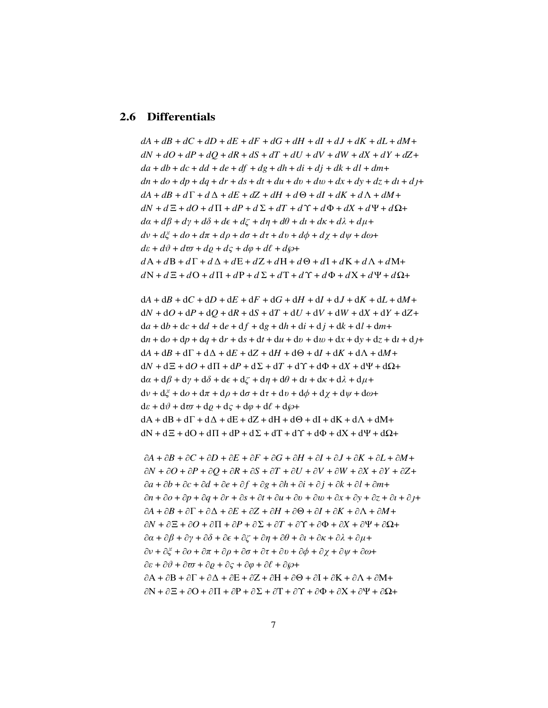#### **2.6 Differentials**

*dA* + *dB* + *dC* + *dD* + *dE* + *dF* + *dG* + *dH* + *dI* + *dJ* + *dK* + *dL* + *dM*+ *dN* + *dO* + *dP* + *dQ* + *dR* + *dS* + *dT* + *dU* + *dV* + *dW* + *dX* + *dY* + *dZ*+ *da* + *db* + *dc* + *dd* + *de* + *df* + *dg* + *dh* + *di* + *dj* + *dk* + *dl* + *dm*+  $dn + do + dp + dq + dr + ds + dt + du + dv + dw + dx + dy + dz + dt + d\mu + d\mu + d\mu$  $dA + dB + d\Gamma + d\Delta + dE + dZ + dH + d\Theta + dI + dK + d\Lambda + dM +$  $dN + dE + dO + d\Pi + dP + d\Sigma + dT + d\Upsilon + d\Phi + dX + d\Psi + d\Omega +$ *d*α + *d*β + *d*γ + *d*δ + *d*ǫ + *d*ζ + *d*η + *d*θ + *d*ι + *d*κ + *d*λ + *d*µ+ *d*ν + *d*ξ + *do* + *d*π + *d*ρ + *d*σ + *d*τ + *d*υ + *d*φ + *d*χ + *d*ψ + *d*ω+  $d\varepsilon + d\vartheta + d\varpi + d\rho + d\zeta + d\varphi + d\ell + d\varphi +$  $dA + dB + d\Gamma + d\Delta + dE + dZ + dH + d\Theta + dI + dK + d\Lambda + dM+$  $dN + dE + dO + d\Pi + dP + dE + dT + d\Upsilon + d\Phi + dX + d\Psi + d\Omega +$ 

 $dA + dB + dC + dD + dE + dF + dG + dH + dI + dJ + dK + dL + dM +$ d*N* + d*O* + d*P* + d*Q* + d*R* + d*S* + d*T* + d*U* + d*V* + d*W* + d*X* + d*Y* + d*Z*+  $da + db + dc + dd + de + df + dg + dh + di + dj + dk + dl + dm +$  $dn + d$ *o* +  $dp + dq + dr + ds + dt + du + dv + dw + dx + dy + dz + dt + d/t +$  $dA + dB + d\Gamma + d\Delta + dE + dZ + dH + d\Theta + dI + dK + d\Lambda + dM +$  $dN + dE + dO + d\Pi + dP + d\Sigma + dT + d\Upsilon + d\Phi + dX + d\Psi + d\Omega +$  $d\alpha + d\beta + d\gamma + d\delta + d\epsilon + d\zeta + d\eta + d\theta + d\iota + d\kappa + d\lambda + d\mu +$  $\mathrm{d}v + \mathrm{d}\zeta + \mathrm{d}\sigma + \mathrm{d}\pi + \mathrm{d}\rho + \mathrm{d}\sigma + \mathrm{d}\tau + \mathrm{d}v + \mathrm{d}\phi + \mathrm{d}\chi + \mathrm{d}\psi + \mathrm{d}\omega +$  $d\varepsilon + d\vartheta + d\varpi + d\rho + d\varsigma + d\varphi + d\ell + d\varphi +$  $dA + dB + d\Gamma + d\Delta + dE + dZ + dH + d\Theta + dI + dK + d\Lambda + dM+$  $dN + dE + dO + d\Pi + dP + d\Sigma + dT + d\Upsilon + d\Phi + dX + d\Psi + d\Omega +$ 

∂*A* + ∂*B* + ∂*C* + ∂*D* + ∂*E* + ∂*F* + ∂*G* + ∂*H* + ∂*I* + ∂*J* + ∂*K* + ∂*L* + ∂*M*+ ∂*N* + ∂*O* + ∂*P* + ∂*Q* + ∂*R* + ∂*S* + ∂*T* + ∂*U* + ∂*V* + ∂*W* + ∂*X* + ∂*Y* + ∂*Z*+ ∂*a* + ∂*b* + ∂*c* + ∂*d* + ∂*e* + ∂ *f* + ∂*g* + ∂*h* + ∂*i* + ∂ *j* + ∂*k* + ∂*l* + ∂*m*+ ∂*n* + ∂*o* + ∂*p* + ∂*q* + ∂*r* + ∂*s* + ∂*t* + ∂*u* + ∂v + ∂w + ∂*x* + ∂*y* + ∂*z* + ∂*ı* + ∂+  $\partial A + \partial B + \partial \Gamma + \partial \Delta + \partial E + \partial Z + \partial H + \partial \Theta + \partial I + \partial K + \partial \Lambda + \partial M +$  $\partial N + \partial \Xi + \partial O + \partial \Pi + \partial P + \partial \Sigma + \partial T + \partial \Upsilon + \partial \Phi + \partial X + \partial \Psi + \partial \Omega +$  $∂α + ∂β + ∂γ + ∂δ + ∂ε + ∂ζ + ∂η + ∂θ + ∂ι + ∂κ + ∂λ + ∂μ +$  $∂ν + ∂ξ + ∂ω + ∂π + ∂ρ + ∂σ + ∂τ + ∂ν + ∂φ + ∂χ + ∂ψ + ∂ω +$  $\partial \varepsilon + \partial \vartheta + \partial \varpi + \partial \varrho + \partial \varsigma + \partial \varphi + \partial \ell + \partial \wp +$  $\partial A + \partial B + \partial \Gamma + \partial \Delta + \partial E + \partial Z + \partial H + \partial \Theta + \partial I + \partial K + \partial \Lambda + \partial M +$  $\partial N + \partial \Xi + \partial O + \partial \Pi + \partial P + \partial \Sigma + \partial T + \partial \Upsilon + \partial \Phi + \partial X + \partial \Psi + \partial \Omega +$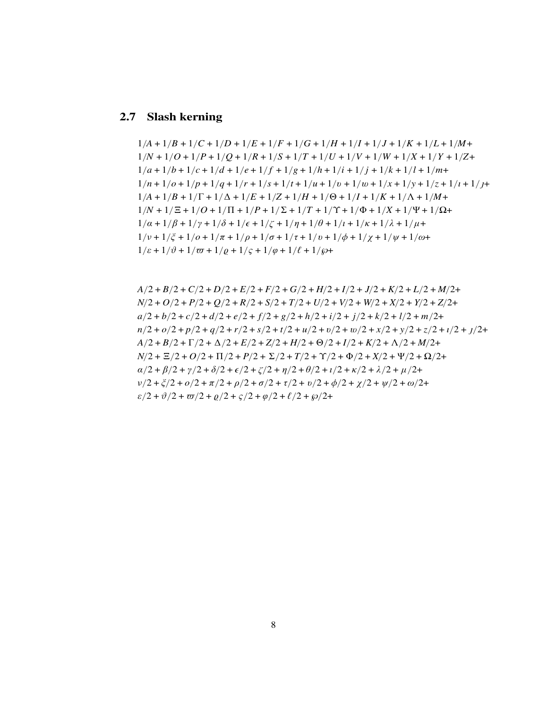# **2.7 Slash kerning**

$$
1/A + 1/B + 1/C + 1/D + 1/E + 1/F + 1/G + 1/H + 1/I + 1/J + 1/K + 1/L + 1/M + 1/N + 1/O + 1/P + 1/Q + 1/R + 1/S + 1/T + 1/U + 1/V + 1/W + 1/X + 1/Y + 1/Z + 1/a + 1/b + 1/c + 1/d + 1/e + 1/f + 1/g + 1/h + 1/i + 1/i + 1/l + 1/M + 1/n + 1/o + 1/p + 1/q + 1/r + 1/S + 1/t + 1/u + 1/v + 1/x + 1/y + 1/Z + 1/I + 1/J + 1/K + 1/J + 1/M + 1/N + 1/Z + 1/O + 1/T + 1/C + 1/T + 1/C + 1/T + 1/\Phi + 1/X + 1/\Psi + 1/\Omega + 1/a + 1/\beta + 1/\gamma + 1/\delta + 1/\epsilon + 1/\zeta + 1/\eta + 1/\theta + 1/\iota + 1/\kappa + 1/\lambda + 1/\mu + 1/\nu + 1/\xi + 1/o + 1/\tau + 1/\rho + 1/\tau + 1/\rho + 1/\tau + 1/\rho + 1/\chi + 1/\psi + 1/\omega + 1/\epsilon + 1/\psi + 1/\phi + 1/\zeta + 1/\phi + 1/\zeta + 1/\phi + 1/\zeta + 1/\phi + 1/\zeta + 1/\phi + 1/\zeta + 1/\phi + 1/\zeta + 1/\phi + 1/\zeta + 1/\phi + 1/\zeta + 1/\phi + 1/\zeta + 1/\phi + 1/\zeta + 1/\phi + 1/\zeta + 1/\phi + 1/\zeta + 1/\phi + 1/\zeta + 1/\phi + 1/\zeta + 1/\phi + 1/\zeta + 1/\phi + 1/\zeta + 1/\phi + 1/\zeta + 1/\phi + 1/\zeta + 1/\phi + 1/\zeta + 1/\phi + 1/\zeta + 1/\phi + 1/\zeta + 1/\phi + 1/\zeta + 1/\phi + 1/\zeta + 1/\phi + 1/\zeta + 1/\phi + 1/\zeta + 1/\phi + 1/\zeta + 1/\phi + 1/\zeta + 1/\phi + 1/\zeta + 1/\phi + 1/\zeta + 1/\phi + 1/\zeta + 1/\phi + 1/\zeta + 1/\phi + 1/\zeta + 1/\phi +
$$

$$
A/2 + B/2 + C/2 + D/2 + E/2 + F/2 + G/2 + H/2 + I/2 + J/2 + K/2 + L/2 + M/2 + N/2 + O/2 + P/2 + Q/2 + R/2 + S/2 + T/2 + U/2 + V/2 + W/2 + X/2 + Y/2 + Z/2 + A/2 + b/2 + c/2 + d/2 + e/2 + f/2 + g/2 + h/2 + i/2 + j/2 + k/2 + l/2 + m/2 + n/2 + o/2 + p/2 + q/2 + r/2 + s/2 + t/2 + u/2 + v/2 + w/2 + x/2 + y/2 + z/2 + t/2 + J/2 + A/2 + B/2 + \Gamma/2 + \Delta/2 + E/2 + Z/2 + H/2 + \Theta/2 + I/2 + K/2 + \Delta/2 + M/2 + N/2 + \Xi/2 + O/2 + \Pi/2 + P/2 + \Sigma/2 + T/2 + \Phi/2 + X/2 + \Psi/2 + \Omega/2 + \alpha/2 + \beta/2 + \gamma/2 + \delta/2 + \epsilon/2 + \zeta/2 + \eta/2 + \theta/2 + t/2 + \lambda/2 + \mu/2 + \nu/2 + \zeta/2 + o/2 + \pi/2 + \rho/2 + \tau/2 + \psi/2 + \psi/2 + \psi/2 + \psi/2 + \phi/2 + \zeta/2 + \psi/2 + \phi/2 + \zeta/2 + \psi/2 + \phi/2 + \zeta/2 + \psi/2 + \phi/2 + \zeta/2 + \psi/2 + \zeta/2 + \psi/2 + \zeta/2 + \psi/2 + \zeta/2 + \psi/2 + \zeta/2 + \psi/2 + \zeta/2 + \psi/2 + \zeta/2 + \psi/2 + \zeta/2 + \psi/2 + \zeta/2 + \psi/2 + \zeta/2 + \psi/2 + \zeta/2 + \zeta/2 + \zeta/2 + \zeta/2 + \zeta/2 + \zeta/2 + \zeta/2 + \zeta/2 + \zeta/2 + \zeta/2 + \zeta/2 + \zeta/2 + \zeta/2 + \zeta/2 + \zeta/2 + \zeta/2 + \zeta/2 + \zeta/2 + \zeta/2 + \zeta/2 + \zeta/2 + \zeta/2 + \zeta/2 + \zeta/2 + \zeta/2 + \zeta/2 + \zeta/2 + \zeta/2 + \zeta/2
$$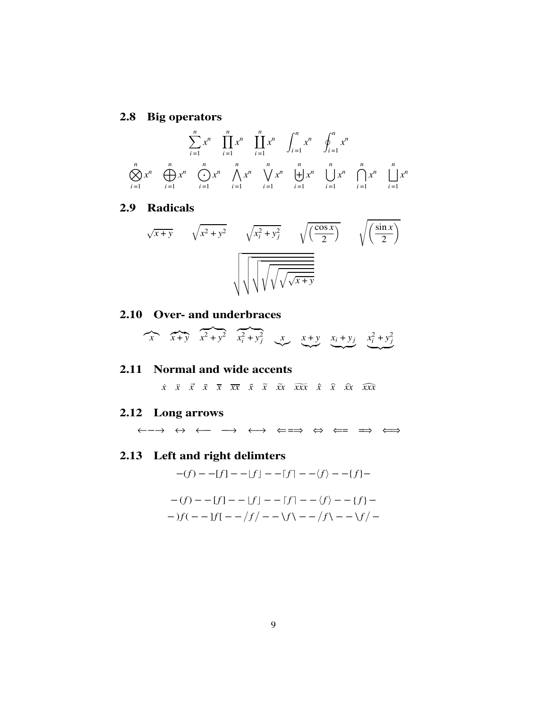### **2.8 Big operators**

$$
\sum_{i=1}^{n} x^{n} \prod_{i=1}^{n} x^{n} \int_{i=1}^{n} x^{n} \phi_{i}^{n} x^{n}
$$
  

$$
\sum_{i=1}^{n} x^{n} \bigoplus_{i=1}^{n} x^{n} \bigotimes_{i=1}^{n} x^{n} \Lambda x^{n} \bigotimes_{i=1}^{n} x^{n} \bigoplus_{i=1}^{n} x^{n} \bigotimes_{i=1}^{n} x^{n} \bigotimes_{i=1}^{n} x^{n} \bigotimes_{i=1}^{n} x^{n} \bigotimes_{i=1}^{n} x^{n}
$$

#### **2.9 Radicals**

$$
\sqrt{x+y} \qquad \sqrt{x^2+y^2} \qquad \sqrt{x_i^2+y_j^2} \qquad \sqrt{\left(\frac{\cos x}{2}\right)} \qquad \sqrt{\left(\frac{\sin x}{2}\right)}
$$

#### **2.10 Over- and underbraces**

$$
\overbrace{x + y} \quad \overbrace{x^2 + y^2} \quad \overbrace{x_i^2 + y_j^2} \quad \overbrace{x} \quad \overbrace{x + y} \quad \overbrace{x_i + y_j} \quad \overbrace{x_i^2 + y_j^2}
$$

#### **2.11 Normal and wide accents**

 $\dot{x}$   $\ddot{x}$   $\ddot{x}$   $\overline{x}$   $\overline{x}$   $\overline{x}$   $\tilde{x}$   $\tilde{x}$   $\tilde{x}$   $\tilde{x}$   $\tilde{x}$   $\tilde{x}$   $\tilde{x}$   $\tilde{x}$   $\tilde{x}$   $\tilde{x}$   $\tilde{x}$   $\tilde{x}$   $\tilde{x}$   $\tilde{x}$   $\tilde{x}$   $\tilde{x}$   $\tilde{x}$   $\tilde{x}$   $\tilde{x}$   $\tilde{x}$   $\tilde{x}$   $\tilde{x}$ 

### **2.12 Long arrows**

←−→ ↔ ←− −→ ←→ ⇐=⇒ ⇔ ⇐= =⇒ ⇐⇒

## **2.13 Left and right delimters**

 $-(f) - -[f] - -[f] - -[f] - -\langle f \rangle - -\{f\} -$ 

$$
-(f) - [f] - [f] - [f] - \langle f \rangle - \{f\} - \langle f \rangle - \langle f \rangle - \langle f \rangle - \langle f \rangle - \langle f \rangle - \langle f \rangle - \langle f \rangle - \langle f \rangle - \langle f \rangle - \langle f \rangle - \langle f \rangle - \langle f \rangle - \langle f \rangle - \langle f \rangle - \langle f \rangle - \langle f \rangle - \langle f \rangle - \langle f \rangle - \langle f \rangle - \langle f \rangle - \langle f \rangle - \langle f \rangle - \langle f \rangle - \langle f \rangle - \langle f \rangle - \langle f \rangle - \langle f \rangle - \langle f \rangle - \langle f \rangle - \langle f \rangle - \langle f \rangle - \langle f \rangle - \langle f \rangle - \langle f \rangle - \langle f \rangle - \langle f \rangle - \langle f \rangle - \langle f \rangle - \langle f \rangle - \langle f \rangle - \langle f \rangle - \langle f \rangle - \langle f \rangle - \langle f \rangle - \langle f \rangle - \langle f \rangle - \langle f \rangle - \langle f \rangle - \langle f \rangle - \langle f \rangle - \langle f \rangle - \langle f \rangle - \langle f \rangle - \langle f \rangle - \langle f \rangle - \langle f \rangle - \langle f \rangle - \langle f \rangle - \langle f \rangle - \langle f \rangle - \langle f \rangle - \langle f \rangle - \langle f \rangle - \langle f \rangle - \langle f \rangle - \langle f \rangle - \langle f \rangle - \langle f \rangle - \langle f \rangle - \langle f \rangle - \langle f \rangle - \langle f \rangle - \langle f \rangle - \langle f \rangle - \langle f \rangle - \langle f \rangle - \langle f \rangle - \langle f \rangle - \langle f \rangle - \langle f \rangle - \langle f \rangle - \langle f \rangle - \langle f \rangle - \langle f \rangle - \langle f \rangle - \langle f \rangle - \langle f \rangle - \langle f \rangle - \langle f \rangle - \langle f \rangle - \langle f \rangle - \langle f \rangle - \langle f \rangle - \langle f \rangle - \langle f \rangle - \langle f \rangle - \langle f \rangle - \langle f \rangle - \langle f \rangle - \langle f \rangle - \langle f \rangle - \langle f \rangle - \langle f \rangle - \langle f \rangle - \langle f \rangle - \langle f \rangle - \langle f \rangle - \langle f \rangle - \langle f \rangle - \langle f \rangle - \langle f \rangle - \langle f \rangle - \langle f \rangle - \langle f \rangle - \langle f \rangle - \langle f \rangle - \langle f \rangle - \langle f \rangle - \langle f \rangle - \langle f \rangle - \langle f \rangle - \langle f \rangle
$$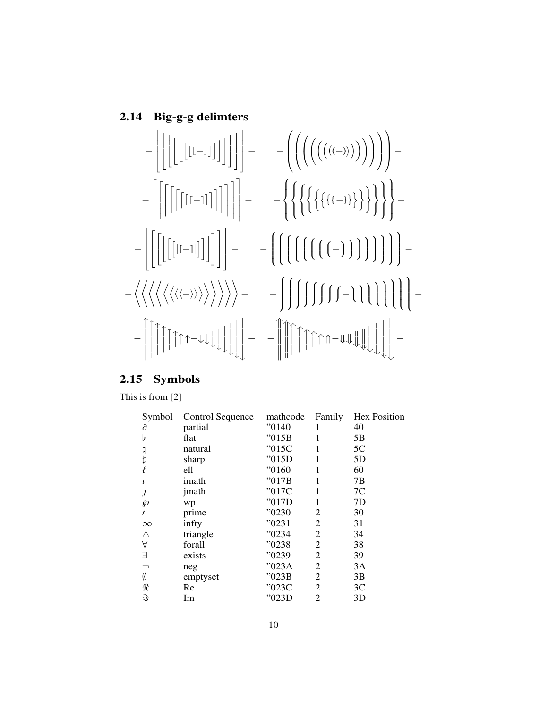#### **2.14 Big-g-g delimters**



#### **2.15 Symbols**

This is from [2]

| Symbol   | Control Sequence | mathcode | Family | <b>Hex Position</b> |
|----------|------------------|----------|--------|---------------------|
| д        | partial          | "0140    |        | 40                  |
| b        | flat             | "015B    |        | 5B                  |
|          | natural          | "015C    |        | 5C                  |
| 日井       | sharp            | "015D    |        | 5D                  |
| $\ell$   | ell              | "0160"   | 1      | 60                  |
| ı        | imath            | "017B    |        | 7B                  |
|          | jmath            | "017C    |        | 7C                  |
| ℘        | wp               | "017D    |        | 7D                  |
|          | prime            | "0230    | 2      | 30                  |
| $\infty$ | infty            | "0231    | 2      | 31                  |
| Δ        | triangle         | "0234    | 2      | 34                  |
| A        | forall           | "0238    | 2      | 38                  |
| Е        | exists           | "0239    | 2      | 39                  |
| —        | neg              | "023A    | 2      | 3A                  |
| Ø        | emptyset         | "023B    | 2      | 3B                  |
| $\Re$    | Re               | "023C    | 2      | 3C                  |
| S        | Im               | "023D    | 2      | 3D                  |
|          |                  |          |        |                     |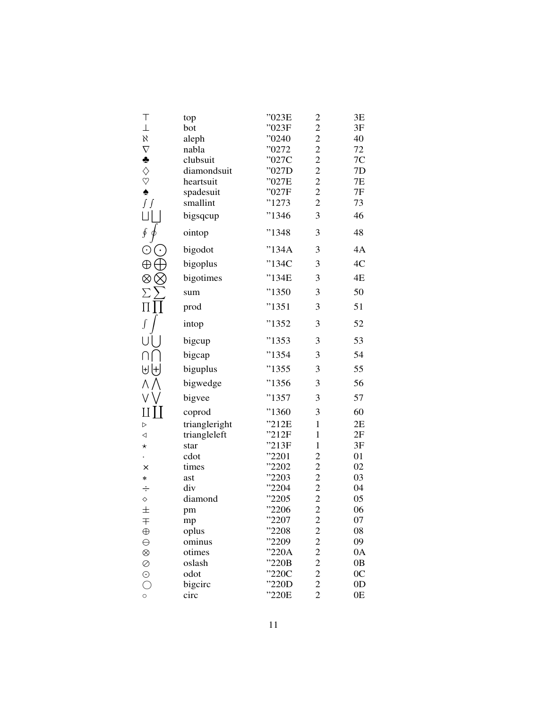| Τ                                  | top              | "023E          | $\overline{\mathbf{c}}$                           | 3E             |
|------------------------------------|------------------|----------------|---------------------------------------------------|----------------|
| $\bot$                             | bot              | "023F          | $\overline{c}$                                    | 3F             |
| $\aleph$                           | aleph            | "0240"         | $\overline{c}$                                    | 40             |
| $\nabla$                           | nabla            | "0272"         | $\overline{c}$                                    | 72             |
| $\clubsuit$                        | clubsuit         | "027C          | $\overline{c}$                                    | 7C             |
|                                    | diamondsuit      | "027D          | $\overline{c}$                                    | 7D             |
| $\diamondsuit$                     | heartsuit        | "027E          | $\overline{c}$                                    | 7E             |
|                                    | spadesuit        | "027F          | $\frac{2}{2}$                                     | 7F             |
| $\int\int$                         | smallint         | "1273          |                                                   | 73             |
| LΠ                                 | bigsqcup         | "1346"         | 3                                                 | 46             |
| $\oint$                            | ointop           | "1348          | 3                                                 | 48             |
| $_{\odot}$<br>$(\,\cdot\,)$        | bigodot          | "134A          | 3                                                 | 4A             |
| $\oplus$                           | bigoplus         | "134C          | 3                                                 | 4C             |
| ⊗⊗                                 | bigotimes        | "134E          | 3                                                 | 4E             |
| $\sum \sum$                        | sum              | "1350          | 3                                                 | 50             |
| $\prod \prod$                      | prod             | "1351"         | 3                                                 | 51             |
| $\int$                             | intop            | "1352          | 3                                                 | 52             |
|                                    | bigcup           | "1353          | 3                                                 | 53             |
| Πſ                                 | bigcap           | "1354"         | 3                                                 | 54             |
| せけ                                 | biguplus         | "1355          | 3                                                 | 55             |
| ΛΛ                                 | bigwedge         | "1356"         | 3                                                 | 56             |
| $V \setminus$                      | bigvee           | "1357          | 3                                                 | 57             |
| $\mathop{\rm II}\mathop{\rm II}$   | coprod           | "1360          | 3                                                 | 60             |
| D                                  | triangleright    | "212E          | $\mathbf{1}$                                      | 2E             |
| ◁                                  | triangleleft     | "212F          | $\mathbf{1}$                                      | 2F             |
| $\star$                            | star             | "213F          | $\mathbf{1}$                                      | 3F             |
|                                    | cdot             | "2201          | $\overline{\mathbf{c}}$                           | 01             |
| ×                                  | times            | "2202"         |                                                   | 02             |
| $\ast$                             | ast              | "2203          |                                                   | 03             |
| $\div$                             | div              | "2204          |                                                   | 04             |
| $\Diamond$                         | diamond          | "2205"         | $\begin{array}{c}\n2 \\ 2 \\ 2 \\ 2\n\end{array}$ | 05             |
| $\pm$                              | pm               | "2206          |                                                   | 06             |
| 干                                  | mp               | "2207          |                                                   | 07             |
| $\oplus$                           | oplus            | "2208          |                                                   | 08             |
| $\ominus$                          | ominus<br>otimes | "2209<br>"220A |                                                   | 09<br>0A       |
| $\otimes$<br>$\oslash$             | oslash           | "220B          |                                                   | 0B             |
|                                    | odot             | "220C          |                                                   | 0 <sup>C</sup> |
| $\odot$<br>$\overline{\mathbb{C}}$ | bigcirc          | "220D          |                                                   | 0D             |
| $\circ$                            | circ             | "220E          | 2 2 2 2 2 2 2 2                                   | 0E             |
|                                    |                  |                |                                                   |                |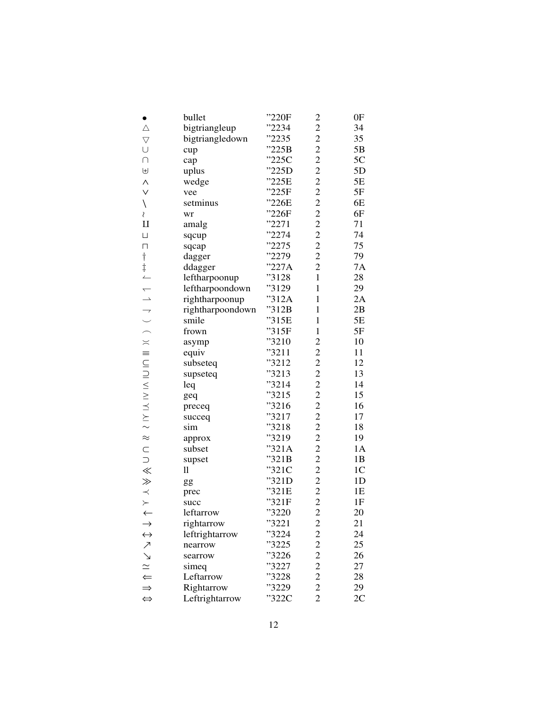| $\bullet$          | bullet           | "220F  | $\overline{\mathbf{c}}$ | 0 <sub>F</sub> |
|--------------------|------------------|--------|-------------------------|----------------|
| $\triangle$        | bigtriangleup    | "2234  | $\overline{c}$          | 34             |
| $\bigtriangledown$ | bigtriangledown  | "2235" | $\overline{c}$          | 35             |
| $\cup$             | cup              | "225B  | $\overline{c}$          | 5B             |
| $\cap$             | cap              | "225C  | $\overline{c}$          | 5C             |
| $\biguplus$        | uplus            | "225D  | $\overline{c}$          | 5D             |
| $\wedge$           | wedge            | "225E  | $\overline{c}$          | 5E             |
| $\vee$             | vee              | "225F  | $\overline{c}$          | 5F             |
| $\backslash$       | setminus         | "226E  | $\overline{c}$          | 6E             |
| Ş                  | wr               | "226F  | $\overline{c}$          | 6F             |
| $\mathbf{I}$       | amalg            | "2271  | $\overline{c}$          | 71             |
| $\sqcup$           | sqcup            | "2274" | $\overline{c}$          | 74             |
| $\Box$             | sqcap            | "2275" | $\overline{c}$          | 75             |
|                    | dagger           | "2279  | $\overline{c}$          | 79             |
|                    | ddagger          | "227A  | $\overline{c}$          | 7A             |
|                    | leftharpoonup    | "3128  | $\mathbf{1}$            | 28             |
|                    | leftharpoondown  | "3129  | $\mathbf{1}$            | 29             |
|                    | rightharpoonup   | "312A  | $\mathbf{1}$            | 2A             |
|                    | rightharpoondown | "312B  | $\mathbf{1}$            | 2B             |
|                    | smile            | "315E  | $\mathbf{1}$            | 5E             |
|                    | frown            | "315F  | $\mathbf{1}$            | 5F             |
|                    | asymp            | "3210  | $\overline{\mathbf{c}}$ | 10             |
|                    | equiv            | "3211  | $\overline{c}$          | 11             |
|                    | subseteq         | "3212  |                         | 12             |
|                    | supseteq         | "3213  | 2222222222222           | 13             |
|                    | leq              | "3214  |                         | 14             |
|                    | geq              | "3215  |                         | 15             |
|                    | preceq           | "3216  |                         | 16             |
|                    | succeq           | "3217  |                         | 17             |
|                    | sim              | "3218  |                         | 18             |
|                    | approx           | "3219  |                         | 19             |
|                    | subset           | "321A  |                         | 1A             |
|                    | supset           | "321B  |                         | 1B             |
|                    | $\mathop{11}$    | "321C  |                         | 1 <sup>C</sup> |
| $>\!\!>\!\!$       | gg               | "321D  |                         | 1 <sub>D</sub> |
|                    | prec             | "321E  |                         | 1E             |
| $\times$           | succ             | "321F  |                         | 1F             |
| $\leftarrow$       | leftarrow        | "3220  | $\overline{c}$          | 20             |
|                    | rightarrow       | "3221  | $\overline{\mathbf{c}}$ | 21             |
| $\leftrightarrow$  | leftrightarrow   | 3224   |                         | 24             |
|                    | nearrow          | "3225  |                         | 25             |
| ファフロール             | searrow          | '3226  |                         | 26             |
|                    | simeq            | 3227"  |                         | 27             |
|                    | Leftarrow        | '3228  |                         | 28             |
|                    | Rightarrow       | "3229  |                         | 29             |
| $\Leftrightarrow$  | Leftrightarrow   | "322C  | 2 2 2 2 2 2 2           | 2C             |
|                    |                  |        |                         |                |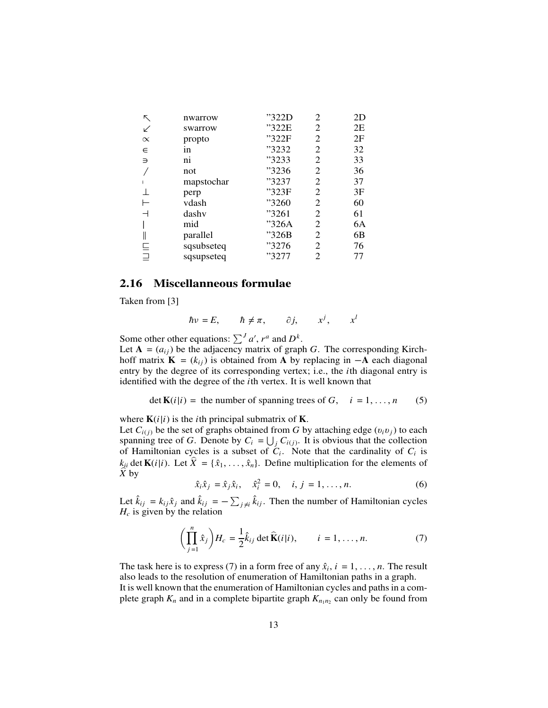| ↖             | nwarrow                 | "322D | 2              | 2D |
|---------------|-------------------------|-------|----------------|----|
| ↙             | swarrow                 | "322E | 2              | 2E |
| $\propto$     | propto                  | "322F | 2              | 2F |
| $\in$         | in                      | "3232 | 2              | 32 |
| $\Rightarrow$ | $\overline{\textbf{n}}$ | "3233 | 2              | 33 |
|               | not                     | "3236 | 2              | 36 |
|               | mapstochar              | "3237 | 2              | 37 |
|               | perp                    | "323F | $\overline{2}$ | 3F |
|               | vdash                   | "3260 | 2              | 60 |
|               | dashv                   | "3261 | 2              | 61 |
|               | mid                     | "326A | $\overline{2}$ | 6A |
|               | parallel                | "326B | 2              | 6B |
| 트             | sqsubseteq              | "3276 | 2              | 76 |
| $\equiv$      | sqsupseteq              | "3277 | 2              | 77 |
|               |                         |       |                |    |

#### **2.16 Miscellanneous formulae**

Taken from [3]

$$
\hbar v = E, \qquad \hbar \neq \pi, \qquad \partial j, \qquad x^j, \qquad x^l
$$

Some other other equations:  $\sum^{J} a'$ ,  $r^a$  and  $D^k$ .

Let  $A = (a_{ij})$  be the adjacency matrix of graph *G*. The corresponding Kirchhoff matrix **K** =  $(k_{ij})$  is obtained from **A** by replacing in  $-\mathbf{A}$  each diagonal entry by the degree of its corresponding vertex; i.e., the *i*th diagonal entry is identified with the degree of the *i*th vertex. It is well known that

$$
\det \mathbf{K}(i|i) = \text{ the number of spanning trees of } G, \quad i = 1, \dots, n \tag{5}
$$

where  $\mathbf{K}(i|i)$  is the *i*th principal submatrix of **K**.

Let  $C_{i(j)}$  be the set of graphs obtained from *G* by attaching edge  $(v_i v_j)$  to each spanning tree of *G*. Denote by  $C_i = \bigcup_j C_{i(j)}$ . It is obvious that the collection of Hamiltonian cycles is a subset of  $C_i$ . Note that the cardinality of  $C_i$  is  $k_{ii}$  det  $\mathbf{K}(i|i)$ . Let  $\hat{X} = {\hat{x}_1, \dots, \hat{x}_n}$ . Define multiplication for the elements of  $\hat{X}$  by

$$
\hat{x}_i \hat{x}_j = \hat{x}_j \hat{x}_i, \quad \hat{x}_i^2 = 0, \quad i, j = 1, ..., n.
$$
 (6)

Let  $\hat{k}_{ij} = k_{ij}\hat{x}_j$  and  $\hat{k}_{ij} = -\sum_{j \neq i} \hat{k}_{ij}$ . Then the number of Hamiltonian cycles  $H_c$  is given by the relation

$$
\left(\prod_{j=1}^{n} \hat{x}_j\right) H_c = \frac{1}{2} \hat{k}_{ij} \det \widehat{\mathbf{K}}(i|i), \qquad i = 1, \dots, n. \tag{7}
$$

The task here is to express (7) in a form free of any  $\hat{x}_i$ ,  $i = 1, \ldots, n$ . The result also leads to the resolution of enumeration of Hamiltonian paths in a graph.

It is well known that the enumeration of Hamiltonian cycles and paths in a complete graph  $K_n$  and in a complete bipartite graph  $K_{n_1 n_2}$  can only be found from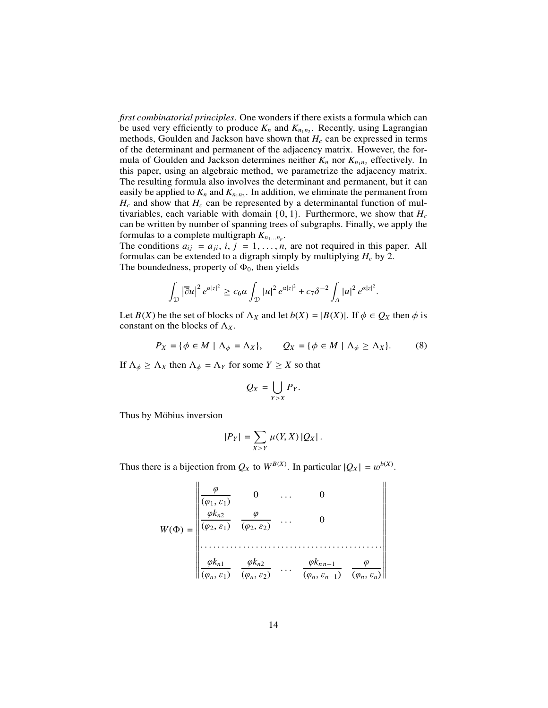*first combinatorial principles*. One wonders if there exists a formula which can be used very efficiently to produce  $K_n$  and  $K_{n_1n_2}$ . Recently, using Lagrangian methods, Goulden and Jackson have shown that *H<sup>c</sup>* can be expressed in terms of the determinant and permanent of the adjacency matrix. However, the formula of Goulden and Jackson determines neither  $K_n$  nor  $K_{n_1n_2}$  effectively. In this paper, using an algebraic method, we parametrize the adjacency matrix. The resulting formula also involves the determinant and permanent, but it can easily be applied to  $K_n$  and  $K_{n_1 n_2}$ . In addition, we eliminate the permanent from  $H_c$  and show that  $H_c$  can be represented by a determinantal function of multivariables, each variable with domain  $\{0, 1\}$ . Furthermore, we show that  $H_c$ can be written by number of spanning trees of subgraphs. Finally, we apply the formulas to a complete multigraph  $K_{n_1...n_p}$ .

The conditions  $a_{ij} = a_{ji}$ ,  $i, j = 1, \ldots, n$ , are not required in this paper. All formulas can be extended to a digraph simply by multiplying *H<sup>c</sup>* by 2. The boundedness, property of  $\Phi_0$ , then yields

$$
\int_{\mathcal{D}} |\overline{\partial} u|^2 e^{a|z|^2} \geq c_6 a \int_{\mathcal{D}} |u|^2 e^{a|z|^2} + c_7 \delta^{-2} \int_A |u|^2 e^{a|z|^2}.
$$

Let *B*(*X*) be the set of blocks of  $\Lambda_X$  and let  $b(X) = |B(X)|$ . If  $\phi \in Q_X$  then  $\phi$  is constant on the blocks of  $\Lambda_X$ .

$$
P_X = \{ \phi \in M \mid \Lambda_{\phi} = \Lambda_X \}, \qquad Q_X = \{ \phi \in M \mid \Lambda_{\phi} \ge \Lambda_X \}. \tag{8}
$$

If  $\Lambda_{\phi} \geq \Lambda_X$  then  $\Lambda_{\phi} = \Lambda_Y$  for some  $Y \geq X$  so that

$$
Q_X=\bigcup_{Y\geq X}P_Y.
$$

Thus by Möbius inversion

 $\mathbf{u}$ 

$$
|P_Y| = \sum_{X \ge Y} \mu(Y, X) |Q_X|.
$$

Thus there is a bijection from  $Q_X$  to  $W^{B(X)}$ . In particular  $|Q_X| = w^{b(X)}$ .

$$
W(\Phi) = \begin{vmatrix} \frac{\varphi}{(\varphi_1, \varepsilon_1)} & 0 & \dots & 0 \\ \frac{\varphi k_{n2}}{(\varphi_2, \varepsilon_1)} & \frac{\varphi}{(\varphi_2, \varepsilon_2)} & \dots & 0 \\ \dots & \dots & \dots & \dots & \dots \\ \frac{\varphi k_{n1}}{(\varphi_n, \varepsilon_1)} & \frac{\varphi k_{n2}}{(\varphi_n, \varepsilon_2)} & \dots & \frac{\varphi k_{nn-1}}{(\varphi_n, \varepsilon_{n-1})} & \frac{\varphi}{(\varphi_n, \varepsilon_n)} \end{vmatrix}
$$